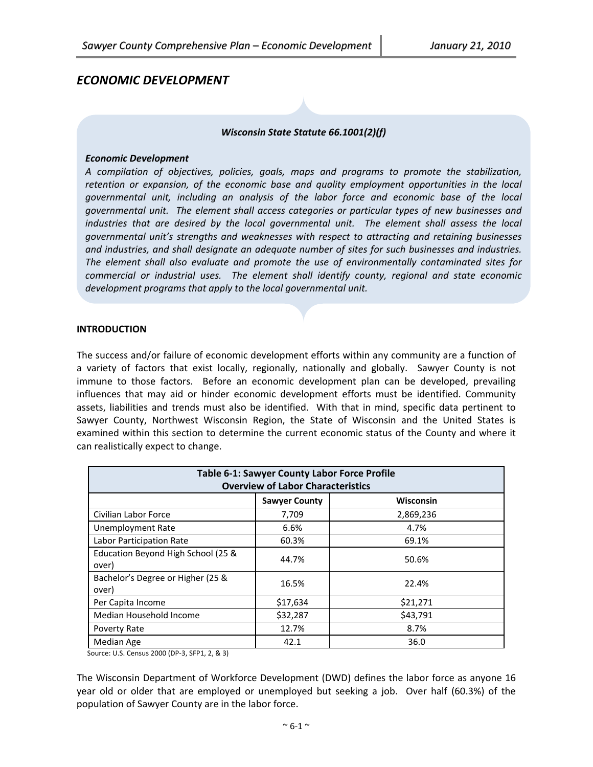# *ECONOMIC DEVELOPMENT*



#### *Economic Development*

*A compilation of objectives, policies, goals, maps and programs to promote the stabilization, retention or expansion, of the economic base and quality employment opportunities in the local governmental unit, including an analysis of the labor force and economic base of the local governmental unit. The element shall access categories or particular types of new businesses and industries that are desired by the local governmental unit. The element shall assess the local governmental unit's strengths and weaknesses with respect to attracting and retaining businesses and industries, and shall designate an adequate number of sites for such businesses and industries. The element shall also evaluate and promote the use of environmentally contaminated sites for commercial or industrial uses. The element shall identify county, regional and state economic development programs that apply to the local governmental unit.*

#### **INTRODUCTION**

The success and/or failure of economic development efforts within any community are a function of a variety of factors that exist locally, regionally, nationally and globally. Sawyer County is not immune to those factors. Before an economic development plan can be developed, prevailing influences that may aid or hinder economic development efforts must be identified. Community assets, liabilities and trends must also be identified. With that in mind, specific data pertinent to Sawyer County, Northwest Wisconsin Region, the State of Wisconsin and the United States is examined within this section to determine the current economic status of the County and where it can realistically expect to change.

| <b>Table 6-1: Sawyer County Labor Force Profile</b><br><b>Overview of Labor Characteristics</b> |                      |                  |  |
|-------------------------------------------------------------------------------------------------|----------------------|------------------|--|
|                                                                                                 | <b>Sawyer County</b> | <b>Wisconsin</b> |  |
| Civilian Labor Force                                                                            | 7,709                | 2,869,236        |  |
| Unemployment Rate                                                                               | 6.6%                 | 4.7%             |  |
| Labor Participation Rate                                                                        | 60.3%                | 69.1%            |  |
| Education Beyond High School (25 &<br>over)                                                     | 44.7%                | 50.6%            |  |
| Bachelor's Degree or Higher (25 &<br>over)                                                      | 16.5%                | 22.4%            |  |
| Per Capita Income                                                                               | \$17,634             | \$21,271         |  |
| Median Household Income                                                                         | \$32,287             | \$43,791         |  |
| Poverty Rate                                                                                    | 12.7%                | 8.7%             |  |
| Median Age                                                                                      | 42.1                 | 36.0             |  |

Source: U.S. Census 2000 (DP‐3, SFP1, 2, & 3)

The Wisconsin Department of Workforce Development (DWD) defines the labor force as anyone 16 year old or older that are employed or unemployed but seeking a job. Over half (60.3%) of the population of Sawyer County are in the labor force.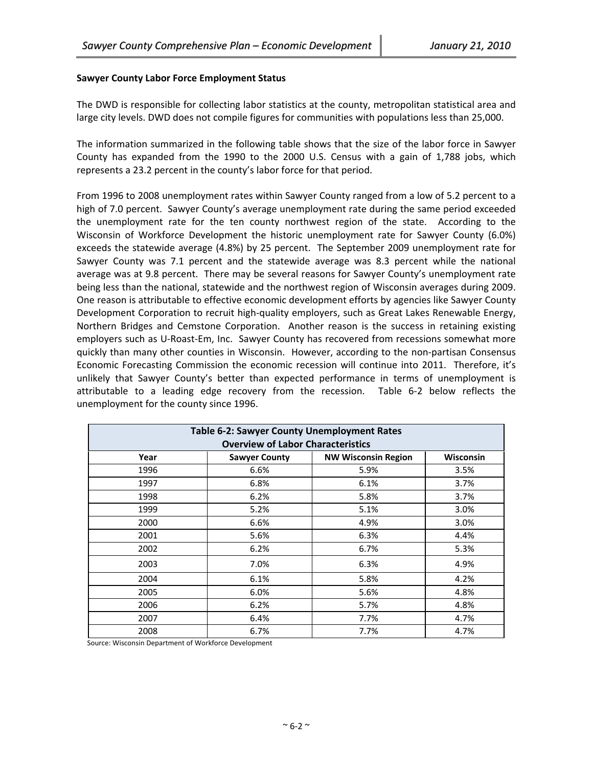## **Sawyer County Labor Force Employment Status**

The DWD is responsible for collecting labor statistics at the county, metropolitan statistical area and large city levels. DWD does not compile figures for communities with populations less than 25,000.

The information summarized in the following table shows that the size of the labor force in Sawyer County has expanded from the 1990 to the 2000 U.S. Census with a gain of 1,788 jobs, which represents a 23.2 percent in the county's labor force for that period.

From 1996 to 2008 unemployment rates within Sawyer County ranged from a low of 5.2 percent to a high of 7.0 percent. Sawyer County's average unemployment rate during the same period exceeded the unemployment rate for the ten county northwest region of the state. According to the Wisconsin of Workforce Development the historic unemployment rate for Sawyer County (6.0%) exceeds the statewide average (4.8%) by 25 percent. The September 2009 unemployment rate for Sawyer County was 7.1 percent and the statewide average was 8.3 percent while the national average was at 9.8 percent. There may be several reasons for Sawyer County's unemployment rate being less than the national, statewide and the northwest region of Wisconsin averages during 2009. One reason is attributable to effective economic development efforts by agencies like Sawyer County Development Corporation to recruit high-quality employers, such as Great Lakes Renewable Energy, Northern Bridges and Cemstone Corporation. Another reason is the success in retaining existing employers such as U‐Roast‐Em, Inc. Sawyer County has recovered from recessions somewhat more quickly than many other counties in Wisconsin. However, according to the non-partisan Consensus Economic Forecasting Commission the economic recession will continue into 2011. Therefore, it's unlikely that Sawyer County's better than expected performance in terms of unemployment is attributable to a leading edge recovery from the recession. Table 6‐2 below reflects the unemployment for the county since 1996.

| Table 6-2: Sawyer County Unemployment Rates<br><b>Overview of Labor Characteristics</b> |                      |                            |                  |
|-----------------------------------------------------------------------------------------|----------------------|----------------------------|------------------|
| Year                                                                                    | <b>Sawyer County</b> | <b>NW Wisconsin Region</b> | <b>Wisconsin</b> |
| 1996                                                                                    | 6.6%                 | 5.9%                       | 3.5%             |
| 1997                                                                                    | 6.8%                 | 6.1%                       | 3.7%             |
| 1998                                                                                    | 6.2%                 | 5.8%                       | 3.7%             |
| 1999                                                                                    | 5.2%                 | 5.1%                       | 3.0%             |
| 2000                                                                                    | 6.6%                 | 4.9%                       | 3.0%             |
| 2001                                                                                    | 5.6%                 | 6.3%                       | 4.4%             |
| 2002                                                                                    | 6.2%                 | 6.7%                       | 5.3%             |
| 2003                                                                                    | 7.0%                 | 6.3%                       | 4.9%             |
| 2004                                                                                    | 6.1%                 | 5.8%                       | 4.2%             |
| 2005                                                                                    | 6.0%                 | 5.6%                       | 4.8%             |
| 2006                                                                                    | 6.2%                 | 5.7%                       | 4.8%             |
| 2007                                                                                    | 6.4%                 | 7.7%                       | 4.7%             |
| 2008                                                                                    | 6.7%                 | 7.7%                       | 4.7%             |

Source: Wisconsin Department of Workforce Development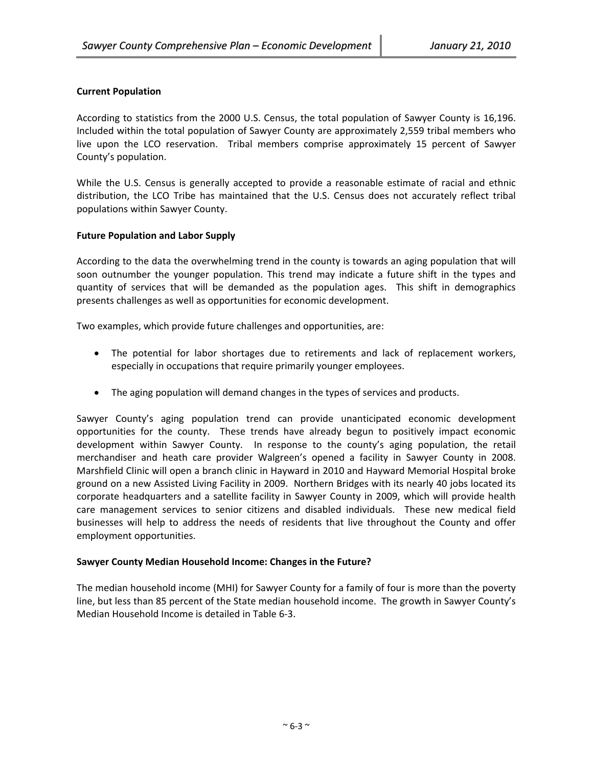## **Current Population**

According to statistics from the 2000 U.S. Census, the total population of Sawyer County is 16,196. Included within the total population of Sawyer County are approximately 2,559 tribal members who live upon the LCO reservation. Tribal members comprise approximately 15 percent of Sawyer County's population.

While the U.S. Census is generally accepted to provide a reasonable estimate of racial and ethnic distribution, the LCO Tribe has maintained that the U.S. Census does not accurately reflect tribal populations within Sawyer County.

## **Future Population and Labor Supply**

According to the data the overwhelming trend in the county is towards an aging population that will soon outnumber the younger population. This trend may indicate a future shift in the types and quantity of services that will be demanded as the population ages. This shift in demographics presents challenges as well as opportunities for economic development.

Two examples, which provide future challenges and opportunities, are:

- The potential for labor shortages due to retirements and lack of replacement workers, especially in occupations that require primarily younger employees.
- The aging population will demand changes in the types of services and products.

Sawyer County's aging population trend can provide unanticipated economic development opportunities for the county. These trends have already begun to positively impact economic development within Sawyer County. In response to the county's aging population, the retail merchandiser and heath care provider Walgreen's opened a facility in Sawyer County in 2008. Marshfield Clinic will open a branch clinic in Hayward in 2010 and Hayward Memorial Hospital broke ground on a new Assisted Living Facility in 2009. Northern Bridges with its nearly 40 jobs located its corporate headquarters and a satellite facility in Sawyer County in 2009, which will provide health care management services to senior citizens and disabled individuals. These new medical field businesses will help to address the needs of residents that live throughout the County and offer employment opportunities.

## **Sawyer County Median Household Income: Changes in the Future?**

The median household income (MHI) for Sawyer County for a family of four is more than the poverty line, but less than 85 percent of the State median household income. The growth in Sawyer County's Median Household Income is detailed in Table 6‐3.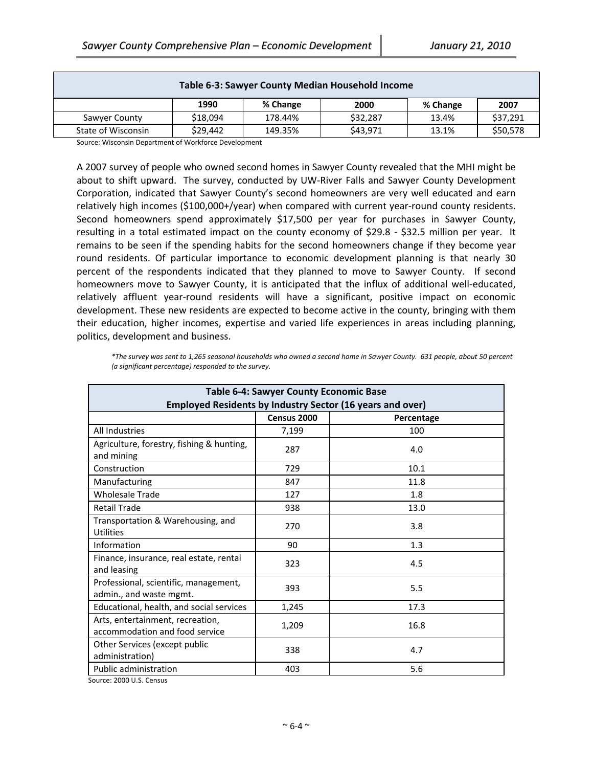| Table 6-3: Sawyer County Median Household Income |          |          |          |          |          |
|--------------------------------------------------|----------|----------|----------|----------|----------|
|                                                  | 1990     | % Change | 2000     | % Change | 2007     |
| Sawyer County                                    | \$18.094 | 178.44%  | \$32.287 | 13.4%    | \$37,291 |
| State of Wisconsin                               | \$29,442 | 149.35%  | \$43,971 | 13.1%    | \$50,578 |

Source: Wisconsin Department of Workforce Development

A 2007 survey of people who owned second homes in Sawyer County revealed that the MHI might be about to shift upward. The survey, conducted by UW‐River Falls and Sawyer County Development Corporation, indicated that Sawyer County's second homeowners are very well educated and earn relatively high incomes (\$100,000+/year) when compared with current year-round county residents. Second homeowners spend approximately \$17,500 per year for purchases in Sawyer County, resulting in a total estimated impact on the county economy of \$29.8 - \$32.5 million per year. It remains to be seen if the spending habits for the second homeowners change if they become year round residents. Of particular importance to economic development planning is that nearly 30 percent of the respondents indicated that they planned to move to Sawyer County. If second homeowners move to Sawyer County, it is anticipated that the influx of additional well-educated, relatively affluent year‐round residents will have a significant, positive impact on economic development. These new residents are expected to become active in the county, bringing with them their education, higher incomes, expertise and varied life experiences in areas including planning, politics, development and business.

\*The survey was sent to 1,265 seasonal households who owned a second home in Sawyer County. 631 people, about 50 percent *(a significant percentage) responded to the survey.* 

| <b>Table 6-4: Sawyer County Economic Base</b>                      |             |            |  |
|--------------------------------------------------------------------|-------------|------------|--|
| <b>Employed Residents by Industry Sector (16 years and over)</b>   |             |            |  |
|                                                                    | Census 2000 | Percentage |  |
| All Industries                                                     | 7,199       | 100        |  |
| Agriculture, forestry, fishing & hunting,<br>and mining            | 287         | 4.0        |  |
| Construction                                                       | 729         | 10.1       |  |
| Manufacturing                                                      | 847         | 11.8       |  |
| <b>Wholesale Trade</b>                                             | 127         | 1.8        |  |
| <b>Retail Trade</b>                                                | 938         | 13.0       |  |
| Transportation & Warehousing, and<br><b>Utilities</b>              | 270         | 3.8        |  |
| Information                                                        | 90          | 1.3        |  |
| Finance, insurance, real estate, rental<br>and leasing             | 323         | 4.5        |  |
| Professional, scientific, management,<br>admin., and waste mgmt.   | 393         | 5.5        |  |
| Educational, health, and social services                           | 1,245       | 17.3       |  |
| Arts, entertainment, recreation,<br>accommodation and food service | 1,209       | 16.8       |  |
| Other Services (except public<br>administration)                   | 338         | 4.7        |  |
| <b>Public administration</b>                                       | 403         | 5.6        |  |

Source: <sup>2000</sup> U.S. Census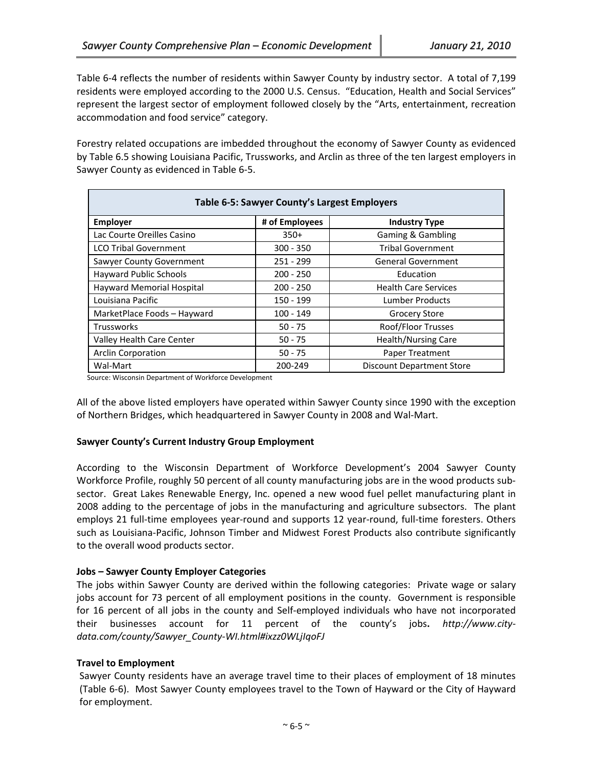Table 6‐4 reflects the number of residents within Sawyer County by industry sector. A total of 7,199 residents were employed according to the 2000 U.S. Census. "Education, Health and Social Services" represent the largest sector of employment followed closely by the "Arts, entertainment, recreation accommodation and food service" category.

Forestry related occupations are imbedded throughout the economy of Sawyer County as evidenced by Table 6.5 showing Louisiana Pacific, Trussworks, and Arclin as three of the ten largest employers in Sawyer County as evidenced in Table 6‐5.

| Table 6-5: Sawyer County's Largest Employers |                |                                  |  |
|----------------------------------------------|----------------|----------------------------------|--|
| <b>Employer</b>                              | # of Employees | <b>Industry Type</b>             |  |
| Lac Courte Oreilles Casino                   | $350+$         | <b>Gaming &amp; Gambling</b>     |  |
| <b>LCO Tribal Government</b>                 | $300 - 350$    | <b>Tribal Government</b>         |  |
| Sawyer County Government                     | 251 - 299      | <b>General Government</b>        |  |
| <b>Hayward Public Schools</b>                | $200 - 250$    | Education                        |  |
| Hayward Memorial Hospital                    | $200 - 250$    | <b>Health Care Services</b>      |  |
| Louisiana Pacific                            | 150 - 199      | Lumber Products                  |  |
| MarketPlace Foods - Hayward                  | $100 - 149$    | <b>Grocery Store</b>             |  |
| <b>Trussworks</b>                            | $50 - 75$      | Roof/Floor Trusses               |  |
| Valley Health Care Center                    | $50 - 75$      | <b>Health/Nursing Care</b>       |  |
| <b>Arclin Corporation</b>                    | $50 - 75$      | Paper Treatment                  |  |
| Wal-Mart                                     | 200-249        | <b>Discount Department Store</b> |  |

Source: Wisconsin Department of Workforce Development

All of the above listed employers have operated within Sawyer County since 1990 with the exception of Northern Bridges, which headquartered in Sawyer County in 2008 and Wal‐Mart.

## **Sawyer County's Current Industry Group Employment**

According to the Wisconsin Department of Workforce Development's 2004 Sawyer County Workforce Profile, roughly 50 percent of all county manufacturing jobs are in the wood products sub‐ sector. Great Lakes Renewable Energy, Inc. opened a new wood fuel pellet manufacturing plant in 2008 adding to the percentage of jobs in the manufacturing and agriculture subsectors. The plant employs 21 full-time employees year-round and supports 12 year-round, full-time foresters. Others such as Louisiana‐Pacific, Johnson Timber and Midwest Forest Products also contribute significantly to the overall wood products sector.

## **Jobs – Sawyer County Employer Categories**

The jobs within Sawyer County are derived within the following categories: Private wage or salary jobs account for 73 percent of all employment positions in the county. Government is responsible for 16 percent of all jobs in the county and Self‐employed individuals who have not incorporated their businesses account for 11 percent of the county's jobs**.** *http://www.city‐ data.com/county/Sawyer\_County‐WI.html#ixzz0WLjIqoFJ*

## **Travel to Employment**

Sawyer County residents have an average travel time to their places of employment of 18 minutes (Table 6‐6). Most Sawyer County employees travel to the Town of Hayward or the City of Hayward for employment.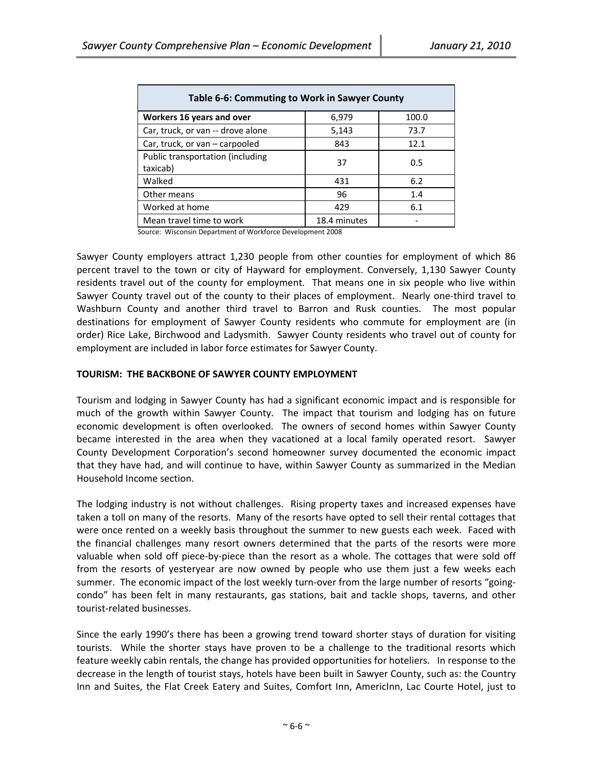| Table 6-6: Commuting to Work in Sawyer County |              |       |  |
|-----------------------------------------------|--------------|-------|--|
| Workers 16 years and over                     | 6,979        | 100.0 |  |
| Car, truck, or van -- drove alone             | 5,143        | 73.7  |  |
| Car, truck, or van - carpooled                | 843          | 12.1  |  |
| Public transportation (including<br>taxicab)  | 37           | 0.5   |  |
| Walked                                        | 431          | 6.2   |  |
| Other means                                   | 96           | 1.4   |  |
| Worked at home                                | 429          | 6.1   |  |
| Mean travel time to work                      | 18.4 minutes |       |  |

Source: Wisconsin Department of Workforce Development <sup>2008</sup>

Sawyer County employers attract 1,230 people from other counties for employment of which 86 percent travel to the town or city of Hayward for employment. Conversely, 1,130 Sawyer County residents travel out of the county for employment. That means one in six people who live within Sawyer County travel out of the county to their places of employment. Nearly one‐third travel to Washburn County and another third travel to Barron and Rusk counties. The most popular destinations for employment of Sawyer County residents who commute for employment are (in order) Rice Lake, Birchwood and Ladysmith. Sawyer County residents who travel out of county for employment are included in labor force estimates for Sawyer County.

## **TOURISM: THE BACKBONE OF SAWYER COUNTY EMPLOYMENT**

Tourism and lodging in Sawyer County has had a significant economic impact and is responsible for much of the growth within Sawyer County. The impact that tourism and lodging has on future economic development is often overlooked. The owners of second homes within Sawyer County became interested in the area when they vacationed at a local family operated resort. Sawyer County Development Corporation's second homeowner survey documented the economic impact that they have had, and will continue to have, within Sawyer County as summarized in the Median Household Income section.

The lodging industry is not without challenges. Rising property taxes and increased expenses have taken a toll on many of the resorts. Many of the resorts have opted to sell their rental cottages that were once rented on a weekly basis throughout the summer to new guests each week. Faced with the financial challenges many resort owners determined that the parts of the resorts were more valuable when sold off piece-by-piece than the resort as a whole. The cottages that were sold off from the resorts of yesteryear are now owned by people who use them just a few weeks each summer. The economic impact of the lost weekly turn-over from the large number of resorts "goingcondo" has been felt in many restaurants, gas stations, bait and tackle shops, taverns, and other tourist‐related businesses.

Since the early 1990's there has been a growing trend toward shorter stays of duration for visiting tourists. While the shorter stays have proven to be a challenge to the traditional resorts which feature weekly cabin rentals, the change has provided opportunities for hoteliers. In response to the decrease in the length of tourist stays, hotels have been built in Sawyer County, such as: the Country Inn and Suites, the Flat Creek Eatery and Suites, Comfort Inn, AmericInn, Lac Courte Hotel, just to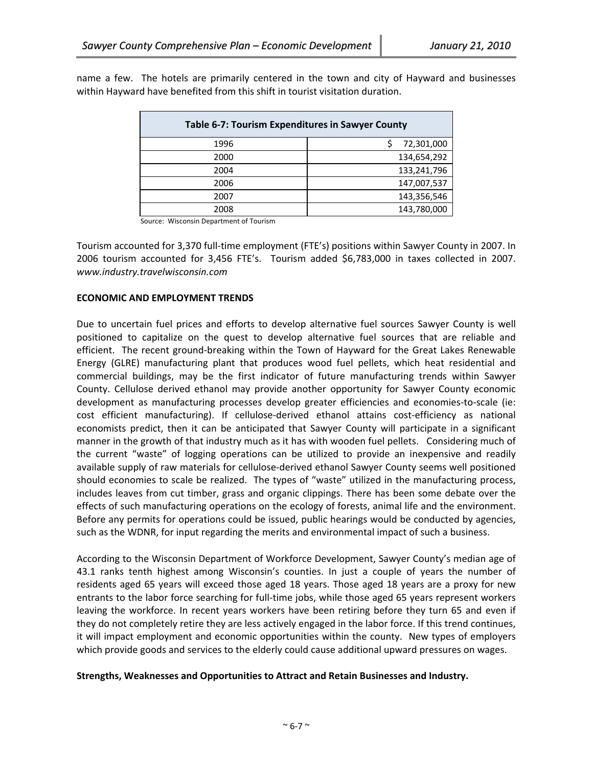| Table 6-7: Tourism Expenditures in Sawyer County |             |  |
|--------------------------------------------------|-------------|--|
| 1996                                             | 72,301,000  |  |
| 2000                                             | 134,654,292 |  |
| 2004                                             | 133,241,796 |  |
| 2006                                             | 147,007,537 |  |
| 2007                                             | 143,356,546 |  |
| 2008                                             | 143,780,000 |  |

name a few. The hotels are primarily centered in the town and city of Hayward and businesses within Hayward have benefited from this shift in tourist visitation duration.

Source: Wisconsin Department of Tourism

Tourism accounted for 3,370 full‐time employment (FTE's) positions within Sawyer County in 2007. In 2006 tourism accounted for 3,456 FTE's. Tourism added \$6,783,000 in taxes collected in 2007. *www.industry.travelwisconsin.com*

### **ECONOMIC AND EMPLOYMENT TRENDS**

Due to uncertain fuel prices and efforts to develop alternative fuel sources Sawyer County is well positioned to capitalize on the quest to develop alternative fuel sources that are reliable and efficient. The recent ground‐breaking within the Town of Hayward for the Great Lakes Renewable Energy (GLRE) manufacturing plant that produces wood fuel pellets, which heat residential and commercial buildings, may be the first indicator of future manufacturing trends within Sawyer County. Cellulose derived ethanol may provide another opportunity for Sawyer County economic development as manufacturing processes develop greater efficiencies and economies‐to‐scale (ie: cost efficient manufacturing). If cellulose-derived ethanol attains cost-efficiency as national economists predict, then it can be anticipated that Sawyer County will participate in a significant manner in the growth of that industry much as it has with wooden fuel pellets. Considering much of the current "waste" of logging operations can be utilized to provide an inexpensive and readily available supply of raw materials for cellulose‐derived ethanol Sawyer County seems well positioned should economies to scale be realized. The types of "waste" utilized in the manufacturing process, includes leaves from cut timber, grass and organic clippings. There has been some debate over the effects of such manufacturing operations on the ecology of forests, animal life and the environment. Before any permits for operations could be issued, public hearings would be conducted by agencies, such as the WDNR, for input regarding the merits and environmental impact of such a business.

According to the Wisconsin Department of Workforce Development, Sawyer County's median age of 43.1 ranks tenth highest among Wisconsin's counties. In just a couple of years the number of residents aged 65 years will exceed those aged 18 years. Those aged 18 years are a proxy for new entrants to the labor force searching for full‐time jobs, while those aged 65 years represent workers leaving the workforce. In recent years workers have been retiring before they turn 65 and even if they do not completely retire they are less actively engaged in the labor force. If this trend continues, it will impact employment and economic opportunities within the county. New types of employers which provide goods and services to the elderly could cause additional upward pressures on wages.

#### **Strengths, Weaknesses and Opportunities to Attract and Retain Businesses and Industry.**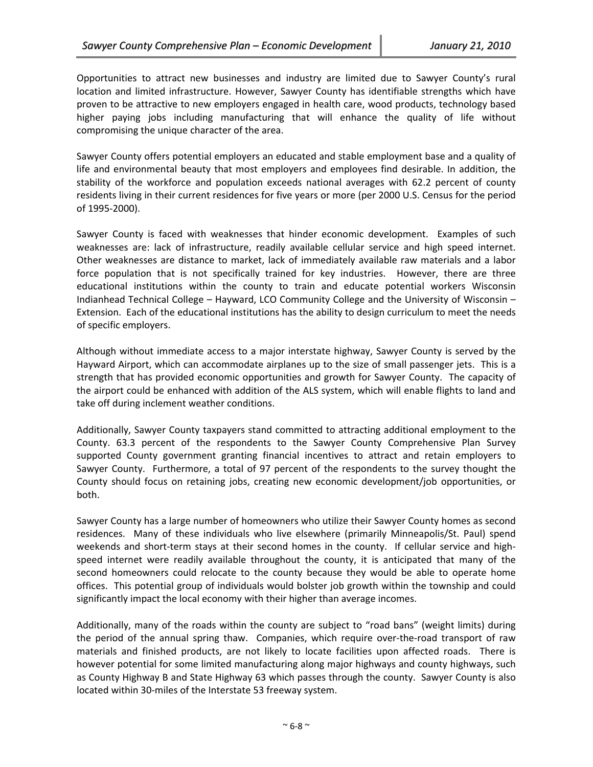Opportunities to attract new businesses and industry are limited due to Sawyer County's rural location and limited infrastructure. However, Sawyer County has identifiable strengths which have proven to be attractive to new employers engaged in health care, wood products, technology based higher paying jobs including manufacturing that will enhance the quality of life without compromising the unique character of the area.

Sawyer County offers potential employers an educated and stable employment base and a quality of life and environmental beauty that most employers and employees find desirable. In addition, the stability of the workforce and population exceeds national averages with 62.2 percent of county residents living in their current residences for five years or more (per 2000 U.S. Census for the period of 1995‐2000).

Sawyer County is faced with weaknesses that hinder economic development. Examples of such weaknesses are: lack of infrastructure, readily available cellular service and high speed internet. Other weaknesses are distance to market, lack of immediately available raw materials and a labor force population that is not specifically trained for key industries. However, there are three educational institutions within the county to train and educate potential workers Wisconsin Indianhead Technical College – Hayward, LCO Community College and the University of Wisconsin – Extension. Each of the educational institutions has the ability to design curriculum to meet the needs of specific employers.

Although without immediate access to a major interstate highway, Sawyer County is served by the Hayward Airport, which can accommodate airplanes up to the size of small passenger jets. This is a strength that has provided economic opportunities and growth for Sawyer County. The capacity of the airport could be enhanced with addition of the ALS system, which will enable flights to land and take off during inclement weather conditions.

Additionally, Sawyer County taxpayers stand committed to attracting additional employment to the County. 63.3 percent of the respondents to the Sawyer County Comprehensive Plan Survey supported County government granting financial incentives to attract and retain employers to Sawyer County. Furthermore, a total of 97 percent of the respondents to the survey thought the County should focus on retaining jobs, creating new economic development/job opportunities, or both.

Sawyer County has a large number of homeowners who utilize their Sawyer County homes as second residences. Many of these individuals who live elsewhere (primarily Minneapolis/St. Paul) spend weekends and short-term stays at their second homes in the county. If cellular service and highspeed internet were readily available throughout the county, it is anticipated that many of the second homeowners could relocate to the county because they would be able to operate home offices. This potential group of individuals would bolster job growth within the township and could significantly impact the local economy with their higher than average incomes.

Additionally, many of the roads within the county are subject to "road bans" (weight limits) during the period of the annual spring thaw. Companies, which require over-the-road transport of raw materials and finished products, are not likely to locate facilities upon affected roads. There is however potential for some limited manufacturing along major highways and county highways, such as County Highway B and State Highway 63 which passes through the county. Sawyer County is also located within 30‐miles of the Interstate 53 freeway system.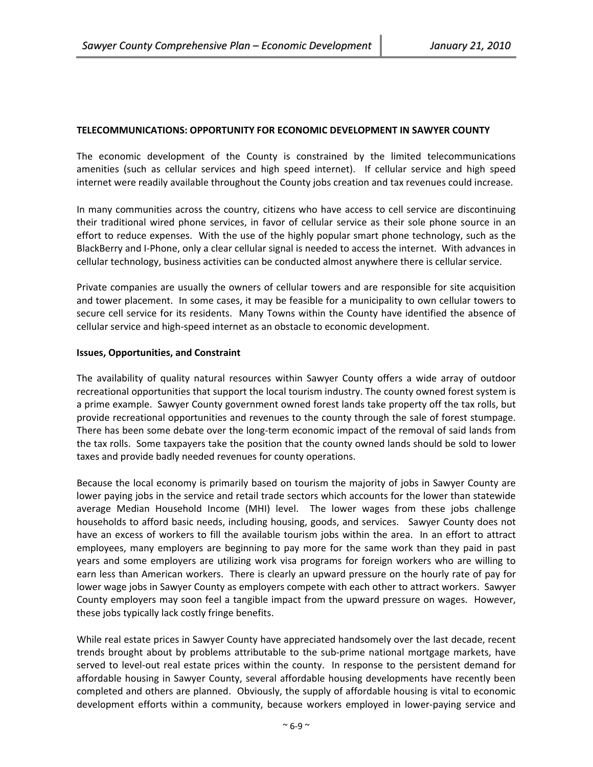## **TELECOMMUNICATIONS: OPPORTUNITY FOR ECONOMIC DEVELOPMENT IN SAWYER COUNTY**

The economic development of the County is constrained by the limited telecommunications amenities (such as cellular services and high speed internet). If cellular service and high speed internet were readily available throughout the County jobs creation and tax revenues could increase.

In many communities across the country, citizens who have access to cell service are discontinuing their traditional wired phone services, in favor of cellular service as their sole phone source in an effort to reduce expenses. With the use of the highly popular smart phone technology, such as the BlackBerry and I‐Phone, only a clear cellular signal is needed to access the internet. With advances in cellular technology, business activities can be conducted almost anywhere there is cellular service.

Private companies are usually the owners of cellular towers and are responsible for site acquisition and tower placement. In some cases, it may be feasible for a municipality to own cellular towers to secure cell service for its residents. Many Towns within the County have identified the absence of cellular service and high‐speed internet as an obstacle to economic development.

### **Issues, Opportunities, and Constraint**

The availability of quality natural resources within Sawyer County offers a wide array of outdoor recreational opportunities that support the local tourism industry. The county owned forest system is a prime example. Sawyer County government owned forest lands take property off the tax rolls, but provide recreational opportunities and revenues to the county through the sale of forest stumpage. There has been some debate over the long-term economic impact of the removal of said lands from the tax rolls. Some taxpayers take the position that the county owned lands should be sold to lower taxes and provide badly needed revenues for county operations.

Because the local economy is primarily based on tourism the majority of jobs in Sawyer County are lower paying jobs in the service and retail trade sectors which accounts for the lower than statewide average Median Household Income (MHI) level. The lower wages from these jobs challenge households to afford basic needs, including housing, goods, and services. Sawyer County does not have an excess of workers to fill the available tourism jobs within the area. In an effort to attract employees, many employers are beginning to pay more for the same work than they paid in past years and some employers are utilizing work visa programs for foreign workers who are willing to earn less than American workers. There is clearly an upward pressure on the hourly rate of pay for lower wage jobs in Sawyer County as employers compete with each other to attract workers. Sawyer County employers may soon feel a tangible impact from the upward pressure on wages. However, these jobs typically lack costly fringe benefits.

While real estate prices in Sawyer County have appreciated handsomely over the last decade, recent trends brought about by problems attributable to the sub‐prime national mortgage markets, have served to level-out real estate prices within the county. In response to the persistent demand for affordable housing in Sawyer County, several affordable housing developments have recently been completed and others are planned. Obviously, the supply of affordable housing is vital to economic development efforts within a community, because workers employed in lower-paying service and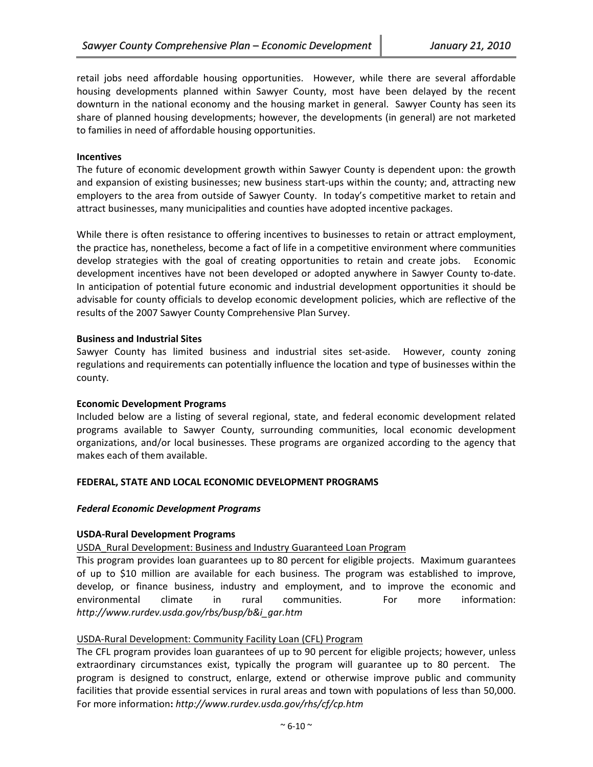retail jobs need affordable housing opportunities. However, while there are several affordable housing developments planned within Sawyer County, most have been delayed by the recent downturn in the national economy and the housing market in general. Sawyer County has seen its share of planned housing developments; however, the developments (in general) are not marketed to families in need of affordable housing opportunities.

### **Incentives**

The future of economic development growth within Sawyer County is dependent upon: the growth and expansion of existing businesses; new business start-ups within the county; and, attracting new employers to the area from outside of Sawyer County. In today's competitive market to retain and attract businesses, many municipalities and counties have adopted incentive packages.

While there is often resistance to offering incentives to businesses to retain or attract employment, the practice has, nonetheless, become a fact of life in a competitive environment where communities develop strategies with the goal of creating opportunities to retain and create jobs. Economic development incentives have not been developed or adopted anywhere in Sawyer County to-date. In anticipation of potential future economic and industrial development opportunities it should be advisable for county officials to develop economic development policies, which are reflective of the results of the 2007 Sawyer County Comprehensive Plan Survey.

### **Business and Industrial Sites**

Sawyer County has limited business and industrial sites set-aside. However, county zoning regulations and requirements can potentially influence the location and type of businesses within the county.

#### **Economic Development Programs**

Included below are a listing of several regional, state, and federal economic development related programs available to Sawyer County, surrounding communities, local economic development organizations, and/or local businesses. These programs are organized according to the agency that makes each of them available.

#### **FEDERAL, STATE AND LOCAL ECONOMIC DEVELOPMENT PROGRAMS**

#### *Federal Economic Development Programs*

#### **USDA‐Rural Development Programs**

## USDA\_Rural Development: Business and Industry Guaranteed Loan Program

This program provides loan guarantees up to 80 percent for eligible projects. Maximum guarantees of up to \$10 million are available for each business. The program was established to improve, develop, or finance business, industry and employment, and to improve the economic and environmental climate in rural communities. For more information: *http://www.rurdev.usda.gov/rbs/busp/b&i\_gar.htm*

#### USDA‐Rural Development: Community Facility Loan (CFL) Program

The CFL program provides loan guarantees of up to 90 percent for eligible projects; however, unless extraordinary circumstances exist, typically the program will guarantee up to 80 percent. The program is designed to construct, enlarge, extend or otherwise improve public and community facilities that provide essential services in rural areas and town with populations of less than 50,000. For more information**:** *http://www.rurdev.usda.gov/rhs/cf/cp.htm*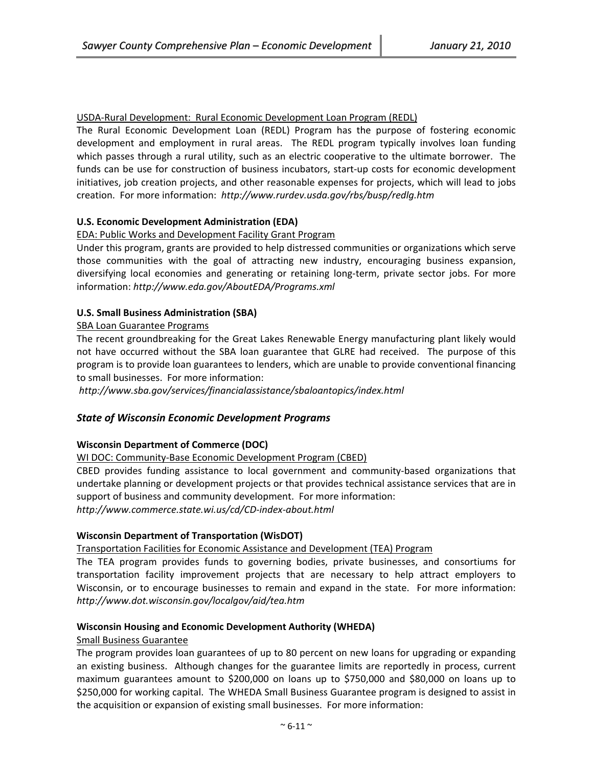## USDA‐Rural Development: Rural Economic Development Loan Program (REDL)

The Rural Economic Development Loan (REDL) Program has the purpose of fostering economic development and employment in rural areas. The REDL program typically involves loan funding which passes through a rural utility, such as an electric cooperative to the ultimate borrower. The funds can be use for construction of business incubators, start-up costs for economic development initiatives, job creation projects, and other reasonable expenses for projects, which will lead to jobs creation. For more information: *http://www.rurdev.usda.gov/rbs/busp/redlg.htm*

## **U.S. Economic Development Administration (EDA)**

## EDA: Public Works and Development Facility Grant Program

Under this program, grants are provided to help distressed communities or organizations which serve those communities with the goal of attracting new industry, encouraging business expansion, diversifying local economies and generating or retaining long‐term, private sector jobs. For more information: *http://www.eda.gov/AboutEDA/Programs.xml*

## **U.S. Small Business Administration (SBA)**

## SBA Loan Guarantee Programs

The recent groundbreaking for the Great Lakes Renewable Energy manufacturing plant likely would not have occurred without the SBA loan guarantee that GLRE had received. The purpose of this program is to provide loan guarantees to lenders, which are unable to provide conventional financing to small businesses. For more information:

*http://www.sba.gov/services/financialassistance/sbaloantopics/index.html*

## *State of Wisconsin Economic Development Programs*

## **Wisconsin Department of Commerce (DOC)**

## WI DOC: Community-Base Economic Development Program (CBED)

CBED provides funding assistance to local government and community‐based organizations that undertake planning or development projects or that provides technical assistance services that are in support of business and community development. For more information: *http://www.commerce.state.wi.us/cd/CD‐index‐about.html*

## **Wisconsin Department of Transportation (WisDOT)**

Transportation Facilities for Economic Assistance and Development (TEA) Program

The TEA program provides funds to governing bodies, private businesses, and consortiums for transportation facility improvement projects that are necessary to help attract employers to Wisconsin, or to encourage businesses to remain and expand in the state. For more information: *http://www.dot.wisconsin.gov/localgov/aid/tea.htm*

## **Wisconsin Housing and Economic Development Authority (WHEDA)**

## Small Business Guarantee

The program provides loan guarantees of up to 80 percent on new loans for upgrading or expanding an existing business. Although changes for the guarantee limits are reportedly in process, current maximum guarantees amount to \$200,000 on loans up to \$750,000 and \$80,000 on loans up to \$250,000 for working capital. The WHEDA Small Business Guarantee program is designed to assist in the acquisition or expansion of existing small businesses. For more information: